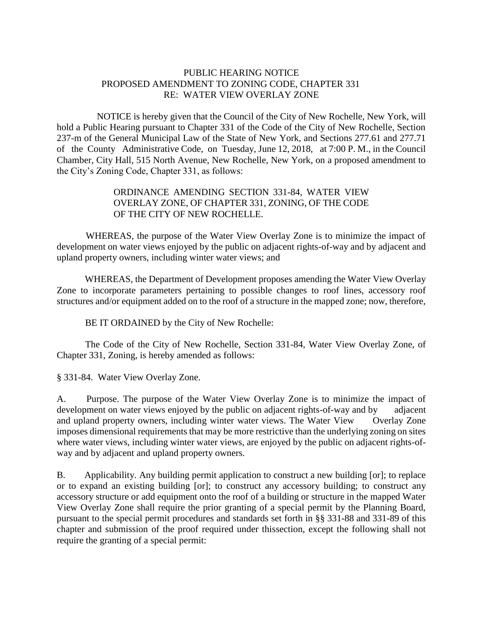## PUBLIC HEARING NOTICE PROPOSED AMENDMENT TO ZONING CODE, CHAPTER 331 RE: WATER VIEW OVERLAY ZONE

 NOTICE is hereby given that the Council of the City of New Rochelle, New York, will hold a Public Hearing pursuant to Chapter 331 of the Code of the City of New Rochelle, Section 237-m of the General Municipal Law of the State of New York, and Sections 277.61 and 277.71 of the County Administrative Code, on Tuesday, June 12, 2018, at 7:00 P. M., in the Council Chamber, City Hall, 515 North Avenue, New Rochelle, New York, on a proposed amendment to the City's Zoning Code, Chapter 331, as follows:

## ORDINANCE AMENDING SECTION 331-84, WATER VIEW OVERLAY ZONE, OF CHAPTER 331, ZONING, OF THE CODE OF THE CITY OF NEW ROCHELLE.

 WHEREAS, the purpose of the Water View Overlay Zone is to minimize the impact of development on water views enjoyed by the public on adjacent rights-of-way and by adjacent and upland property owners, including winter water views; and

 WHEREAS, the Department of Development proposes amending the Water View Overlay Zone to incorporate parameters pertaining to possible changes to roof lines, accessory roof structures and/or equipment added on to the roof of a structure in the mapped zone; now, therefore,

BE IT ORDAINED by the City of New Rochelle:

The Code of the City of New Rochelle, Section 331-84, Water View Overlay Zone, of Chapter 331, Zoning, is hereby amended as follows:

§ 331-84. Water View Overlay Zone.

A. Purpose. The purpose of the Water View Overlay Zone is to minimize the impact of development on water views enjoyed by the public on adjacent rights-of-way and by adjacent and upland property owners, including winter water views. The Water View Overlay Zone imposes dimensional requirements that may be more restrictive than the underlying zoning on sites where water views, including winter water views, are enjoyed by the public on adjacent rights-ofway and by adjacent and upland property owners.

B. Applicability. Any building permit application to construct a new building [or]; to replace or to expand an existing building [or]; to construct any accessory building; to construct any accessory structure or add equipment onto the roof of a building or structure in the mapped Water View Overlay Zone shall require the prior granting of a special permit by the Planning Board, pursuant to the special permit procedures and standards set forth in §§ 331-88 and 331-89 of this chapter and submission of the proof required under thissection, except the following shall not require the granting of a special permit: